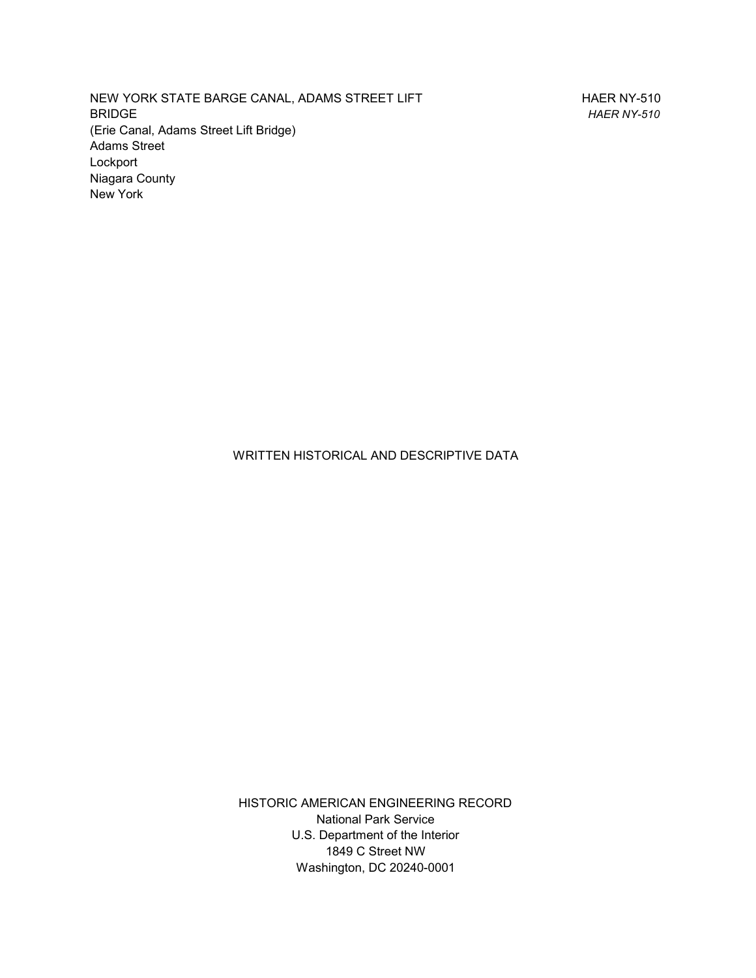NEW YORK STATE BARGE CANAL, ADAMS STREET LIFT BRIDGE (Erie Canal, Adams Street Lift Bridge) Adams Street Lockport Niagara County New York

HAER NY-510 *HAER NY-510*

WRITTEN HISTORICAL AND DESCRIPTIVE DATA

HISTORIC AMERICAN ENGINEERING RECORD National Park Service U.S. Department of the Interior 1849 C Street NW Washington, DC 20240-0001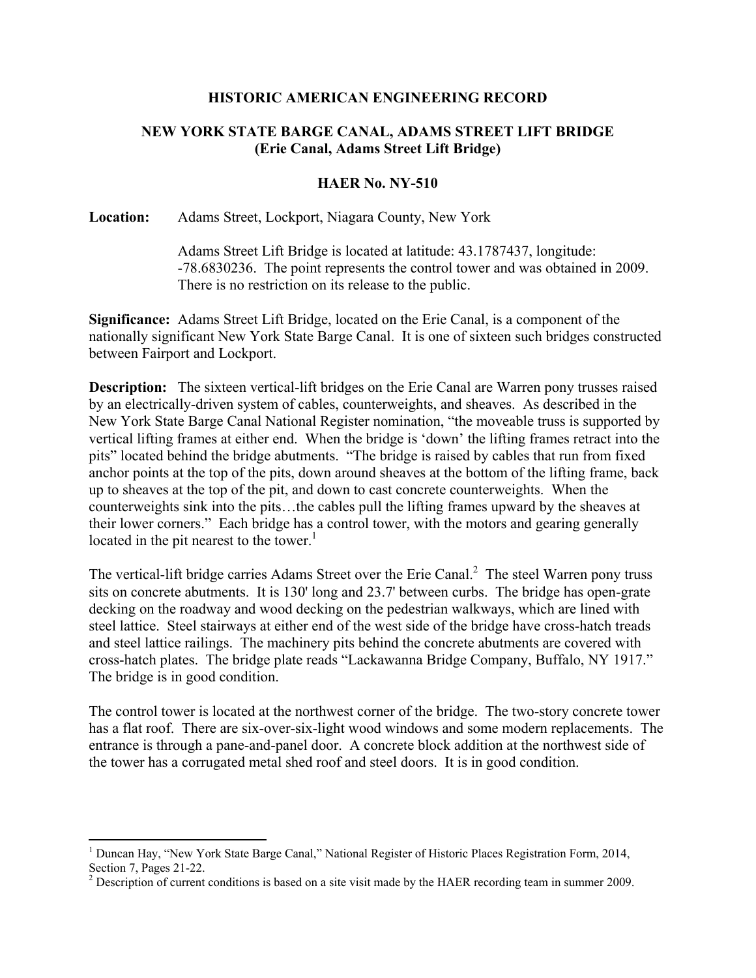### **HISTORIC AMERICAN ENGINEERING RECORD**

# **NEW YORK STATE BARGE CANAL, ADAMS STREET LIFT BRIDGE (Erie Canal, Adams Street Lift Bridge)**

## **HAER No. NY-510**

### **Location:** Adams Street, Lockport, Niagara County, New York

Adams Street Lift Bridge is located at latitude: 43.1787437, longitude: -78.6830236. The point represents the control tower and was obtained in 2009. There is no restriction on its release to the public.

**Significance:** Adams Street Lift Bridge, located on the Erie Canal, is a component of the nationally significant New York State Barge Canal. It is one of sixteen such bridges constructed between Fairport and Lockport.

**Description:** The sixteen vertical-lift bridges on the Erie Canal are Warren pony trusses raised by an electrically-driven system of cables, counterweights, and sheaves. As described in the New York State Barge Canal National Register nomination, "the moveable truss is supported by vertical lifting frames at either end. When the bridge is 'down' the lifting frames retract into the pits" located behind the bridge abutments. "The bridge is raised by cables that run from fixed anchor points at the top of the pits, down around sheaves at the bottom of the lifting frame, back up to sheaves at the top of the pit, and down to cast concrete counterweights. When the counterweights sink into the pits…the cables pull the lifting frames upward by the sheaves at their lower corners." Each bridge has a control tower, with the motors and gearing generally located in the pit nearest to the tower. $<sup>1</sup>$ </sup>

The vertical-lift bridge carries Adams Street over the Erie Canal. $^2$  The steel Warren pony truss sits on concrete abutments. It is 130' long and 23.7' between curbs. The bridge has open-grate decking on the roadway and wood decking on the pedestrian walkways, which are lined with steel lattice. Steel stairways at either end of the west side of the bridge have cross-hatch treads and steel lattice railings. The machinery pits behind the concrete abutments are covered with cross-hatch plates. The bridge plate reads "Lackawanna Bridge Company, Buffalo, NY 1917." The bridge is in good condition.

The control tower is located at the northwest corner of the bridge. The two-story concrete tower has a flat roof. There are six-over-six-light wood windows and some modern replacements. The entrance is through a pane-and-panel door. A concrete block addition at the northwest side of the tower has a corrugated metal shed roof and steel doors. It is in good condition.

<sup>&</sup>lt;sup>1</sup> Duncan Hay, "New York State Barge Canal," National Register of Historic Places Registration Form, 2014, Section 7, Pages 21-22.

 $2^{2}$  Description of current conditions is based on a site visit made by the HAER recording team in summer 2009.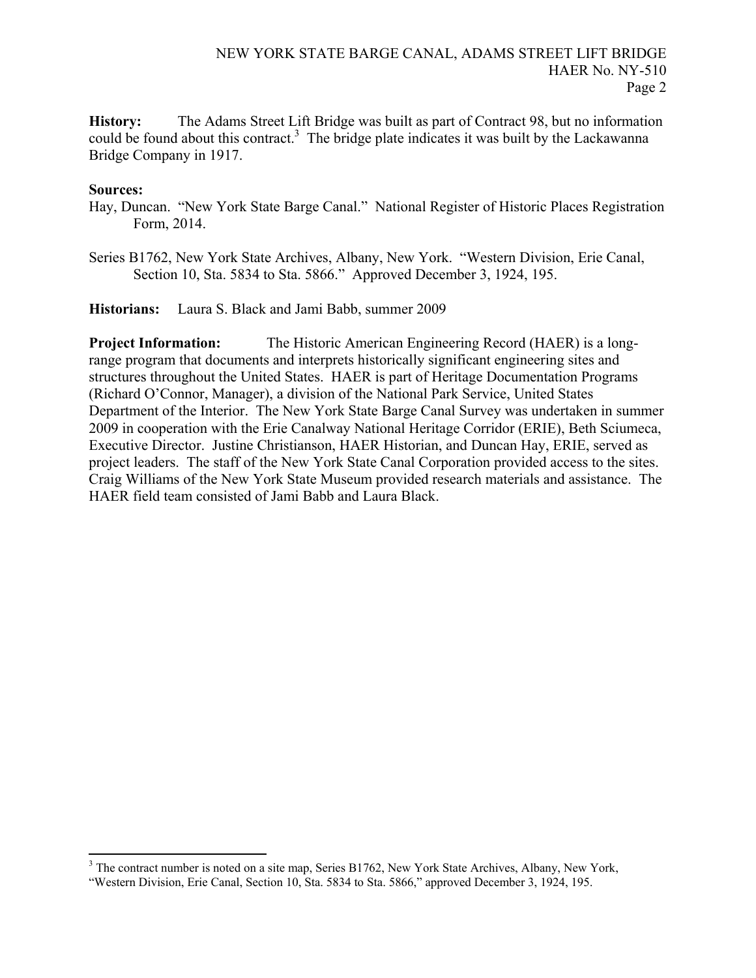**History:** The Adams Street Lift Bridge was built as part of Contract 98, but no information could be found about this contract.<sup>3</sup> The bridge plate indicates it was built by the Lackawanna Bridge Company in 1917.

### **Sources:**

- Hay, Duncan. "New York State Barge Canal." National Register of Historic Places Registration Form, 2014.
- Series B1762, New York State Archives, Albany, New York. "Western Division, Erie Canal, Section 10, Sta. 5834 to Sta. 5866." Approved December 3, 1924, 195.

**Historians:** Laura S. Black and Jami Babb, summer 2009

**Project Information:** The Historic American Engineering Record (HAER) is a longrange program that documents and interprets historically significant engineering sites and structures throughout the United States. HAER is part of Heritage Documentation Programs (Richard O'Connor, Manager), a division of the National Park Service, United States Department of the Interior. The New York State Barge Canal Survey was undertaken in summer 2009 in cooperation with the Erie Canalway National Heritage Corridor (ERIE), Beth Sciumeca, Executive Director. Justine Christianson, HAER Historian, and Duncan Hay, ERIE, served as project leaders. The staff of the New York State Canal Corporation provided access to the sites. Craig Williams of the New York State Museum provided research materials and assistance. The HAER field team consisted of Jami Babb and Laura Black.

<sup>&</sup>lt;sup>3</sup> The contract number is noted on a site map, Series B1762, New York State Archives, Albany, New York,

<sup>&</sup>quot;Western Division, Erie Canal, Section 10, Sta. 5834 to Sta. 5866," approved December 3, 1924, 195.